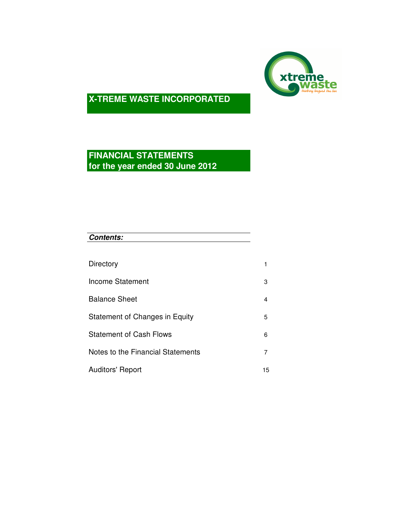

# **FINANCIAL STATEMENTS for the year ended 30 June 2012**

| <b>Contents:</b> |  |  |
|------------------|--|--|
|                  |  |  |

| Directory                         |    |
|-----------------------------------|----|
| Income Statement                  | 3  |
| <b>Balance Sheet</b>              | 4  |
| Statement of Changes in Equity    | 5  |
| <b>Statement of Cash Flows</b>    | 6  |
| Notes to the Financial Statements | 7  |
| <b>Auditors' Report</b>           | 15 |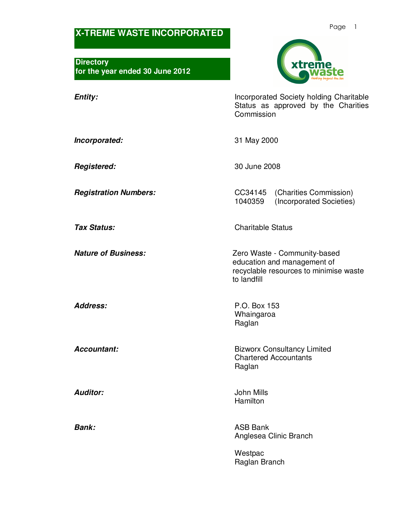**Directory for the year ended 30 June 2012** 



**Entity: Incorporated Society holding Charitable** Status as approved by the Charities **Commission** 

**Incorporated:** 31 May 2000

**Registered:** 30 June 2008

**Registration Numbers:** CC34145 (Charities Commission)<br>1040359 (Incorporated Societies) (Incorporated Societies)

**Tax Status:** Charitable Status

**Nature of Business: Nature of Business: Zero Waste - Community-based** education and management of recyclable resources to minimise waste to landfill

**Address:** P.O. Box 153 Whaingaroa Raglan

**Accountant: Bizworx Consultancy Limited** Chartered Accountants Raglan

**Auditor:** John Mills Hamilton

**Bank:** ASB Bank Anglesea Clinic Branch

> **Westpac** Raglan Branch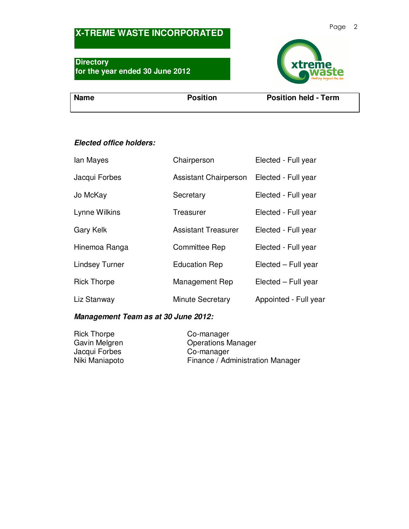### **Directory for the year ended 30 June 2012**



**Name** Position Position Position Position Position held - Term

### **Elected office holders:**

| lan Mayes             | Chairperson                  | Elected - Full year   |
|-----------------------|------------------------------|-----------------------|
| Jacqui Forbes         | <b>Assistant Chairperson</b> | Elected - Full year   |
| Jo McKay              | Secretary                    | Elected - Full year   |
| Lynne Wilkins         | Treasurer                    | Elected - Full year   |
| Gary Kelk             | <b>Assistant Treasurer</b>   | Elected - Full year   |
| Hinemoa Ranga         | <b>Committee Rep</b>         | Elected - Full year   |
| <b>Lindsey Turner</b> | <b>Education Rep</b>         | Elected - Full year   |
| <b>Rick Thorpe</b>    | Management Rep               | Elected - Full year   |
| Liz Stanway           | <b>Minute Secretary</b>      | Appointed - Full year |

### **Management Team as at 30 June 2012:**

| <b>Rick Thorpe</b> | Co-manager                       |
|--------------------|----------------------------------|
| Gavin Melgren      | <b>Operations Manager</b>        |
| Jacqui Forbes      | Co-manager                       |
| Niki Maniapoto     | Finance / Administration Manager |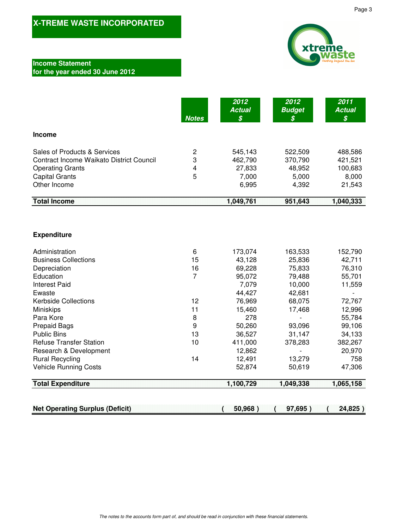

### **Income Statement for the year ended 30 June 2012**

|                                                                                                                                                     | <b>Notes</b>                  | 2012<br><b>Actual</b><br>\$                    | 2012<br><b>Budget</b><br>S                     | 2011<br><b>Actual</b><br>$\boldsymbol{\mathcal{S}}$ |
|-----------------------------------------------------------------------------------------------------------------------------------------------------|-------------------------------|------------------------------------------------|------------------------------------------------|-----------------------------------------------------|
| <b>Income</b>                                                                                                                                       |                               |                                                |                                                |                                                     |
| Sales of Products & Services<br><b>Contract Income Waikato District Council</b><br><b>Operating Grants</b><br><b>Capital Grants</b><br>Other Income | $\overline{c}$<br>3<br>4<br>5 | 545,143<br>462,790<br>27,833<br>7,000<br>6,995 | 522,509<br>370,790<br>48,952<br>5,000<br>4,392 | 488,586<br>421,521<br>100,683<br>8,000<br>21,543    |
| <b>Total Income</b>                                                                                                                                 |                               | 1,049,761                                      | 951,643                                        | 1,040,333                                           |
| <b>Expenditure</b>                                                                                                                                  |                               |                                                |                                                |                                                     |
| Administration                                                                                                                                      | 6                             | 173,074                                        | 163,533                                        | 152,790                                             |
| <b>Business Collections</b>                                                                                                                         | 15<br>16                      | 43,128                                         | 25,836                                         | 42,711<br>76,310                                    |
| Depreciation<br>Education                                                                                                                           | $\overline{7}$                | 69,228<br>95,072                               | 75,833<br>79,488                               | 55,701                                              |
| <b>Interest Paid</b>                                                                                                                                |                               | 7,079                                          | 10,000                                         | 11,559                                              |
| Ewaste                                                                                                                                              |                               | 44,427                                         | 42,681                                         | $\overline{a}$                                      |
| <b>Kerbside Collections</b>                                                                                                                         | 12                            | 76,969                                         | 68,075                                         | 72,767                                              |
| Miniskips                                                                                                                                           | 11                            | 15,460                                         | 17,468                                         | 12,996                                              |
| Para Kore                                                                                                                                           | 8                             | 278                                            |                                                | 55,784                                              |
| <b>Prepaid Bags</b>                                                                                                                                 | 9                             | 50,260                                         | 93,096                                         | 99,106                                              |
| <b>Public Bins</b>                                                                                                                                  | 13                            | 36,527                                         | 31,147                                         | 34,133                                              |
| <b>Refuse Transfer Station</b>                                                                                                                      | 10                            | 411,000                                        | 378,283                                        | 382,267                                             |
| Research & Development                                                                                                                              |                               | 12,862                                         |                                                | 20,970                                              |
| <b>Rural Recycling</b>                                                                                                                              | 14                            | 12,491                                         | 13,279                                         | 758                                                 |
| <b>Vehicle Running Costs</b>                                                                                                                        |                               | 52,874                                         | 50,619                                         | 47,306                                              |
| <b>Total Expenditure</b>                                                                                                                            |                               | 1,100,729                                      | 1,049,338                                      | 1,065,158                                           |
|                                                                                                                                                     |                               |                                                |                                                |                                                     |

| <b>Net Operating Surplus (Deficit)</b> | .69F<br>94. |
|----------------------------------------|-------------|
|                                        |             |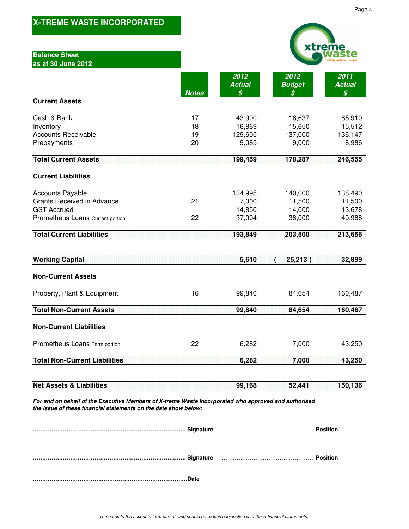|                                                                                                                        |                      |                                      |                                       | xtreme                                |
|------------------------------------------------------------------------------------------------------------------------|----------------------|--------------------------------------|---------------------------------------|---------------------------------------|
| <b>Balance Sheet</b><br>as at 30 June 2012                                                                             |                      |                                      |                                       |                                       |
|                                                                                                                        |                      | 2012<br><b>Actual</b>                | 2012<br><b>Budget</b>                 | 2011<br><b>Actual</b>                 |
| <b>Current Assets</b>                                                                                                  | <b>Notes</b>         | \$                                   | S                                     | \$                                    |
| Cash & Bank<br>Inventory<br><b>Accounts Receivable</b><br>Prepayments                                                  | 17<br>18<br>19<br>20 | 43,900<br>16,869<br>129,605<br>9,085 | 16,637<br>15,650<br>137,000<br>9,000  | 85,910<br>15,512<br>136,147<br>8,986  |
| <b>Total Current Assets</b>                                                                                            |                      | 199,459                              | 178,287                               | 246,555                               |
| <b>Current Liabilities</b>                                                                                             |                      |                                      |                                       |                                       |
| <b>Accounts Payable</b><br><b>Grants Received in Advance</b><br><b>GST Accrued</b><br>Prometheus Loans Current portion | 21<br>22             | 134,995<br>7,000<br>14,850<br>37,004 | 140,000<br>11,500<br>14,000<br>38,000 | 138,490<br>11,500<br>13,678<br>49,988 |
| <b>Total Current Liabilities</b>                                                                                       |                      | 193,849                              | 203,500                               | 213,656                               |
|                                                                                                                        |                      |                                      |                                       |                                       |
|                                                                                                                        |                      |                                      |                                       |                                       |
| <b>Working Capital</b>                                                                                                 |                      | 5,610                                | 25,213)                               | 32,899                                |
| <b>Non-Current Assets</b>                                                                                              |                      |                                      |                                       |                                       |
| Property, Plant & Equipment                                                                                            | 16                   | 99,840                               | 84,654                                | 160,487                               |
| <b>Total Non-Current Assets</b>                                                                                        |                      | 99,840                               | 84,654                                | 160,487                               |
| <b>Non-Current Liabilities</b>                                                                                         |                      |                                      |                                       |                                       |
| Prometheus Loans Term portion                                                                                          | 22                   | 6,282                                | 7,000                                 | 43,250                                |
| <b>Total Non-Current Liabilities</b>                                                                                   |                      | 6,282                                | 7,000                                 | 43,250                                |
|                                                                                                                        |                      |                                      |                                       |                                       |
| <b>Net Assets &amp; Liabilities</b>                                                                                    |                      | 99,168                               | 52,441                                | 150,136                               |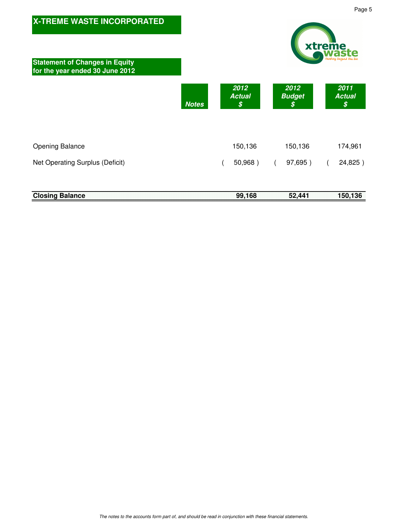| <b>X-TREME WASTE INCORPORATED</b><br><b>Statement of Changes in Equity</b><br>for the year ended 30 June 2012 |              |                                           |                             | xtreme |                             |
|---------------------------------------------------------------------------------------------------------------|--------------|-------------------------------------------|-----------------------------|--------|-----------------------------|
|                                                                                                               | <b>Notes</b> | 2012<br><b>Actual</b><br>$\boldsymbol{s}$ | 2012<br><b>Budget</b><br>\$ |        | 2011<br><b>Actual</b><br>\$ |
| <b>Opening Balance</b>                                                                                        |              | 150,136                                   | 150,136                     |        | 174,961                     |
| Net Operating Surplus (Deficit)                                                                               |              | 50,968)                                   | 97,695)                     |        | 24,825)                     |
| <b>Closing Balance</b>                                                                                        |              | 99,168                                    | 52,441                      |        | 150,136                     |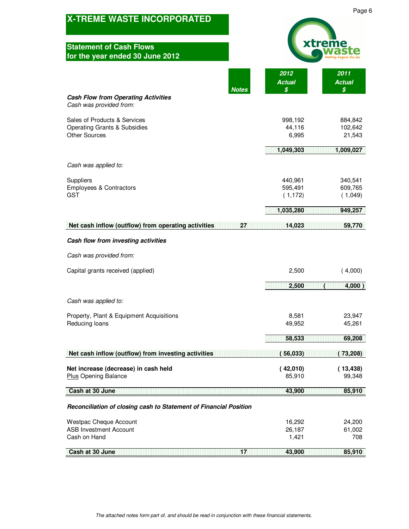| <b>X-TREME WASTE INCORPORATED</b>                                                               |                                | Page                          |
|-------------------------------------------------------------------------------------------------|--------------------------------|-------------------------------|
| <b>Statement of Cash Flows</b><br>for the year ended 30 June 2012                               |                                |                               |
| <b>Notes</b>                                                                                    | 2012<br><b>Actual</b><br>\$    | 2011<br><b>Actual</b><br>\$   |
| <b>Cash Flow from Operating Activities</b><br>Cash was provided from:                           |                                |                               |
| Sales of Products & Services<br><b>Operating Grants &amp; Subsidies</b><br><b>Other Sources</b> | 998,192<br>44,116<br>6,995     | 884,842<br>102,642<br>21,543  |
|                                                                                                 | 1,049,303                      | 1,009,027                     |
| Cash was applied to:                                                                            |                                |                               |
| Suppliers<br>Employees & Contractors<br><b>GST</b>                                              | 440,961<br>595,491<br>(1, 172) | 340,541<br>609,765<br>(1,049) |
|                                                                                                 | 1,035,280                      | 949,257                       |
| Net cash inflow (outflow) from operating activities<br>27                                       | 14,023                         | 59,770                        |
| Cash flow from investing activities                                                             |                                |                               |
| Cash was provided from:                                                                         |                                |                               |
| Capital grants received (applied)                                                               | 2,500                          | (4,000)                       |
|                                                                                                 | 2,500                          | $4,000$ )                     |
| Cash was applied to:                                                                            |                                |                               |
| Property, Plant & Equipment Acquisitions<br>Reducing loans                                      | 8,581<br>49,952                | 23,947<br>45,261              |
|                                                                                                 | 58,533                         | 69,208                        |
| Net cash inflow (outflow) from investing activities                                             | (56,033)                       | (73, 208)                     |
| Net increase (decrease) in cash held<br><b>Plus Opening Balance</b>                             | (42,010)<br>85,910             | (13, 438)<br>99,348           |
| Cash at 30 June                                                                                 | 43,900                         | 85,910                        |
| Reconciliation of closing cash to Statement of Financial Position                               |                                |                               |
| Westpac Cheque Account<br><b>ASB Investment Account</b><br>Cash on Hand                         | 16,292<br>26,187<br>1,421      | 24,200<br>61,002<br>708       |
| Cash at 30 June<br>ΪŽ                                                                           | 43,900                         | 85,910                        |

 $\,$  6  $\,$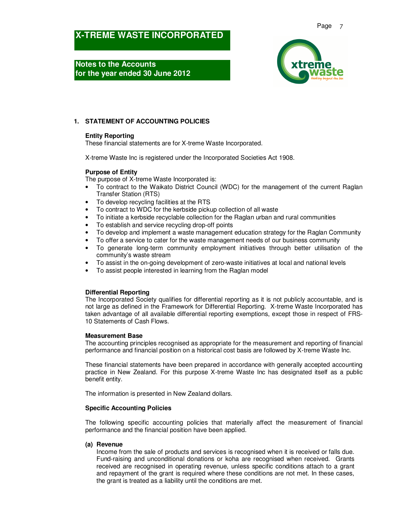**Notes to the Accounts for the year ended 30 June 2012** 



### **1. STATEMENT OF ACCOUNTING POLICIES**

### **Entity Reporting**

These financial statements are for X-treme Waste Incorporated.

X-treme Waste Inc is registered under the Incorporated Societies Act 1908.

### **Purpose of Entity**

The purpose of X-treme Waste Incorporated is:

- To contract to the Waikato District Council (WDC) for the management of the current Raglan Transfer Station (RTS)
- To develop recycling facilities at the RTS
- To contract to WDC for the kerbside pickup collection of all waste
- To initiate a kerbside recyclable collection for the Raglan urban and rural communities
- To establish and service recycling drop-off points
- To develop and implement a waste management education strategy for the Raglan Community
- To offer a service to cater for the waste management needs of our business community
- To generate long-term community employment initiatives through better utilisation of the community's waste stream
- To assist in the on-going development of zero-waste initiatives at local and national levels
- To assist people interested in learning from the Raglan model

### **Differential Reporting**

The Incorporated Society qualifies for differential reporting as it is not publicly accountable, and is not large as defined in the Framework for Differential Reporting. X-treme Waste Incorporated has taken advantage of all available differential reporting exemptions, except those in respect of FRS-10 Statements of Cash Flows.

#### **Measurement Base**

The accounting principles recognised as appropriate for the measurement and reporting of financial performance and financial position on a historical cost basis are followed by X-treme Waste Inc.

These financial statements have been prepared in accordance with generally accepted accounting practice in New Zealand. For this purpose X-treme Waste Inc has designated itself as a public benefit entity.

The information is presented in New Zealand dollars.

#### **Specific Accounting Policies**

The following specific accounting policies that materially affect the measurement of financial performance and the financial position have been applied.

### **(a) Revenue**

Income from the sale of products and services is recognised when it is received or falls due. Fund-raising and unconditional donations or koha are recognised when received. Grants received are recognised in operating revenue, unless specific conditions attach to a grant and repayment of the grant is required where these conditions are not met. In these cases, the grant is treated as a liability until the conditions are met.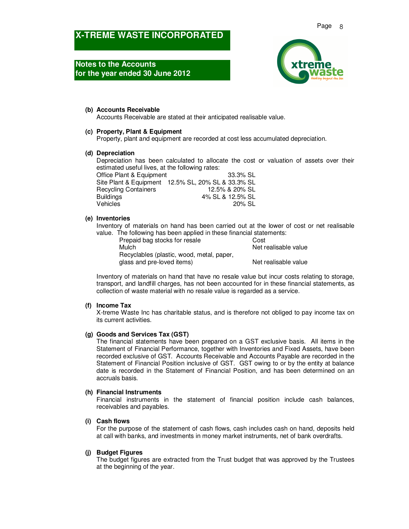## **Notes to the Accounts for the year ended 30 June 2012**



### **(b) Accounts Receivable**

Accounts Receivable are stated at their anticipated realisable value.

### **(c) Property, Plant & Equipment**

Property, plant and equipment are recorded at cost less accumulated depreciation.

### **(d) Depreciation**

Depreciation has been calculated to allocate the cost or valuation of assets over their estimated useful lives, at the following rates:

| Office Plant & Equipment    | 33.3% SL                                           |
|-----------------------------|----------------------------------------------------|
|                             | Site Plant & Equipment 12.5% SL, 20% SL & 33.3% SL |
| <b>Recycling Containers</b> | 12.5% & 20% SL                                     |
| Buildings                   | 4% SL & 12.5% SL                                   |
| Vehicles                    | 20% SL                                             |

### **(e) Inventories**

Inventory of materials on hand has been carried out at the lower of cost or net realisable value. The following has been applied in these financial statements:

| Prepaid bag stocks for resale             | Cost                 |
|-------------------------------------------|----------------------|
| Mulch                                     | Net realisable value |
| Recyclables (plastic, wood, metal, paper, |                      |
| glass and pre-loved items)                | Net realisable value |

Inventory of materials on hand that have no resale value but incur costs relating to storage, transport, and landfill charges, has not been accounted for in these financial statements, as collection of waste material with no resale value is regarded as a service.

### **(f) Income Tax**

X-treme Waste Inc has charitable status, and is therefore not obliged to pay income tax on its current activities.

### **(g) Goods and Services Tax (GST)**

The financial statements have been prepared on a GST exclusive basis. All items in the Statement of Financial Performance, together with Inventories and Fixed Assets, have been recorded exclusive of GST. Accounts Receivable and Accounts Payable are recorded in the Statement of Financial Position inclusive of GST. GST owing to or by the entity at balance date is recorded in the Statement of Financial Position, and has been determined on an accruals basis.

#### **(h) Financial Instruments**

Financial instruments in the statement of financial position include cash balances, receivables and payables.

### **(i) Cash flows**

For the purpose of the statement of cash flows, cash includes cash on hand, deposits held at call with banks, and investments in money market instruments, net of bank overdrafts.

### **(j) Budget Figures**

The budget figures are extracted from the Trust budget that was approved by the Trustees at the beginning of the year.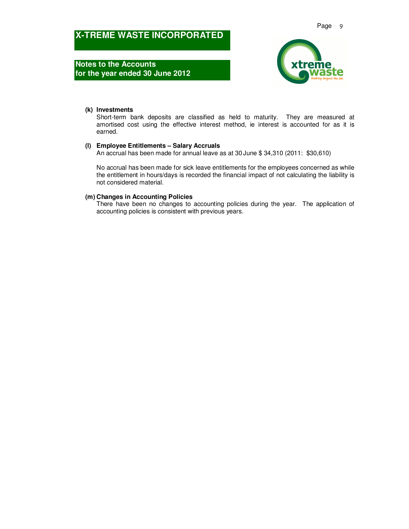**Notes to the Accounts for the year ended 30 June 2012** 



### **(k) Investments**

Short-term bank deposits are classified as held to maturity. They are measured at amortised cost using the effective interest method, ie interest is accounted for as it is earned.

### **(l) Employee Entitlements – Salary Accruals**

An accrual has been made for annual leave as at 30 June \$ 34,310 (2011: \$30,610)

No accrual has been made for sick leave entitlements for the employees concerned as while the entitlement in hours/days is recorded the financial impact of not calculating the liability is not considered material.

#### **(m) Changes in Accounting Policies**

There have been no changes to accounting policies during the year. The application of accounting policies is consistent with previous years.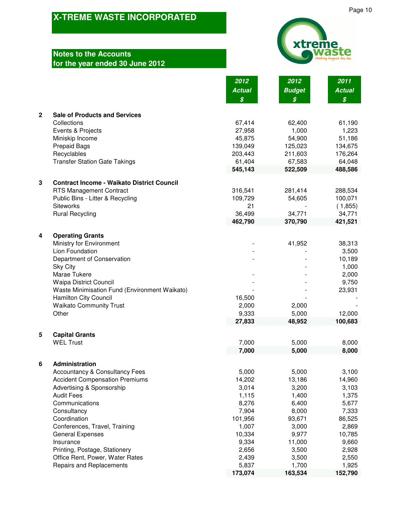# **Notes to the Accounts for the year ended 30 June 2012**



|              |                                                     | 2012<br><b>Actual</b><br>$\boldsymbol{\mathcal{S}}$ | 2012<br><b>Budget</b><br>\$ | 2011<br><b>Actual</b><br>$\boldsymbol{\mathcal{S}}$ |
|--------------|-----------------------------------------------------|-----------------------------------------------------|-----------------------------|-----------------------------------------------------|
| $\mathbf{2}$ | <b>Sale of Products and Services</b>                |                                                     |                             |                                                     |
|              | Collections                                         | 67,414                                              | 62,400                      | 61,190                                              |
|              | Events & Projects                                   | 27,958                                              | 1,000                       | 1,223                                               |
|              | Miniskip Income                                     | 45,875                                              | 54,900                      | 51,186                                              |
|              | <b>Prepaid Bags</b>                                 | 139,049                                             | 125,023                     | 134,675                                             |
|              | Recyclables<br><b>Transfer Station Gate Takings</b> | 203,443<br>61,404                                   | 211,603<br>67,583           | 176,264<br>64,048                                   |
|              |                                                     | 545,143                                             | 522,509                     | 488,586                                             |
| $\mathbf 3$  | <b>Contract Income - Waikato District Council</b>   |                                                     |                             |                                                     |
|              | <b>RTS Management Contract</b>                      | 316,541                                             | 281,414                     | 288,534                                             |
|              | Public Bins - Litter & Recycling                    | 109,729                                             | 54,605                      | 100,071                                             |
|              | <b>Siteworks</b>                                    | 21                                                  |                             | (1,855)                                             |
|              | <b>Rural Recycling</b>                              | 36,499                                              | 34,771                      | 34,771                                              |
|              |                                                     | 462,790                                             | 370,790                     | 421,521                                             |
| 4            | <b>Operating Grants</b>                             |                                                     |                             |                                                     |
|              | Ministry for Environment                            |                                                     | 41,952                      | 38,313                                              |
|              | Lion Foundation                                     |                                                     |                             | 3,500                                               |
|              | Department of Conservation<br><b>Sky City</b>       |                                                     |                             | 10,189<br>1,000                                     |
|              | Marae Tukere                                        |                                                     |                             | 2,000                                               |
|              | <b>Waipa District Council</b>                       |                                                     |                             | 9,750                                               |
|              | Waste Minimisation Fund (Environment Waikato)       |                                                     |                             | 23,931                                              |
|              | Hamilton City Council                               | 16,500                                              |                             |                                                     |
|              | <b>Waikato Community Trust</b>                      | 2,000                                               | 2,000                       |                                                     |
|              | Other                                               | 9,333                                               | 5,000                       | 12,000                                              |
|              |                                                     | 27,833                                              | 48,952                      | 100,683                                             |
| 5            | <b>Capital Grants</b>                               |                                                     |                             |                                                     |
|              | <b>WEL Trust</b>                                    | 7,000                                               | 5,000                       | 8,000                                               |
|              |                                                     | 7,000                                               | 5,000                       | 8,000                                               |
| 6            | Administration                                      |                                                     |                             |                                                     |
|              | <b>Accountancy &amp; Consultancy Fees</b>           | 5,000                                               | 5,000                       | 3,100                                               |
|              | <b>Accident Compensation Premiums</b>               | 14,202                                              | 13,186                      | 14,960                                              |
|              | Advertising & Sponsorship                           | 3,014                                               | 3,200                       | 3,103                                               |
|              | <b>Audit Fees</b>                                   | 1,115                                               | 1,400<br>6,400              | 1,375                                               |
|              | Communications                                      | 8,276<br>7,904                                      | 8,000                       | 5,677<br>7,333                                      |
|              | Consultancy<br>Coordination                         | 101,956                                             | 93,671                      | 86,525                                              |
|              | Conferences, Travel, Training                       | 1,007                                               | 3,000                       | 2,869                                               |
|              | <b>General Expenses</b>                             | 10,334                                              | 9,977                       | 10,785                                              |
|              | Insurance                                           | 9,334                                               | 11,000                      | 9,660                                               |
|              | Printing, Postage, Stationery                       | 2,656                                               | 3,500                       | 2,928                                               |
|              | Office Rent, Power, Water Rates                     | 2,439                                               | 3,500                       | 2,550                                               |
|              | <b>Repairs and Replacements</b>                     | 5,837                                               | 1,700                       | 1,925                                               |
|              |                                                     | 173,074                                             | 163,534                     | 152,790                                             |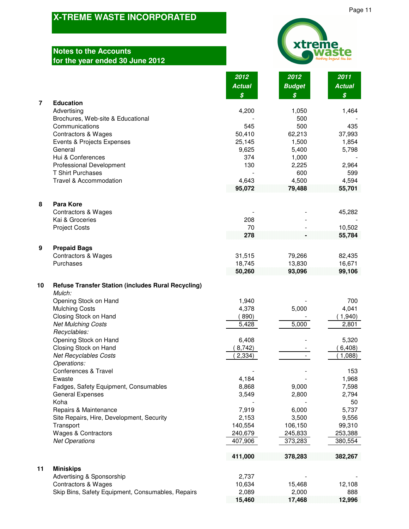# **Notes to the Accounts for the year ended 30 June 2012**



|                                                                           | 2012<br><b>Actual</b><br>\$ | 2012<br><b>Budget</b><br>\$ | 2011<br><b>Actual</b><br>\$ |
|---------------------------------------------------------------------------|-----------------------------|-----------------------------|-----------------------------|
| $\overline{7}$<br><b>Education</b>                                        |                             |                             |                             |
| Advertising                                                               | 4,200                       | 1,050                       | 1,464                       |
| Brochures, Web-site & Educational                                         |                             | 500                         |                             |
| Communications                                                            | 545                         | 500                         | 435                         |
| <b>Contractors &amp; Wages</b>                                            | 50,410                      | 62,213                      | 37,993                      |
| Events & Projects Expenses                                                | 25,145                      | 1,500                       | 1,854                       |
| General<br>Hui & Conferences                                              | 9,625<br>374                | 5,400<br>1,000              | 5,798                       |
| <b>Professional Development</b>                                           | 130                         | 2,225                       | 2,964                       |
| <b>T Shirt Purchases</b>                                                  |                             | 600                         | 599                         |
| Travel & Accommodation                                                    | 4,643                       | 4,500                       | 4,594                       |
|                                                                           | 95,072                      | 79,488                      | 55,701                      |
| <b>Para Kore</b><br>8                                                     |                             |                             |                             |
| <b>Contractors &amp; Wages</b><br>Kai & Groceries                         | 208                         |                             | 45,282                      |
| <b>Project Costs</b>                                                      | 70                          |                             | 10,502                      |
|                                                                           | 278                         |                             | 55,784                      |
| 9<br><b>Prepaid Bags</b>                                                  |                             |                             |                             |
| <b>Contractors &amp; Wages</b>                                            | 31,515                      | 79,266                      | 82,435                      |
| Purchases                                                                 | 18,745                      | 13,830                      | 16,671                      |
|                                                                           | 50,260                      | 93,096                      | 99,106                      |
| 10<br><b>Refuse Transfer Station (includes Rural Recycling)</b><br>Mulch: |                             |                             |                             |
| Opening Stock on Hand                                                     | 1,940                       |                             | 700                         |
| <b>Mulching Costs</b>                                                     | 4,378                       | 5,000                       | 4,041                       |
| Closing Stock on Hand                                                     | (890)                       |                             | (1,940)                     |
| <b>Net Mulching Costs</b><br>Recyclables:                                 | 5,428                       | $\overline{5,000}$          | 2,801                       |
| Opening Stock on Hand                                                     | 6,408                       |                             | 5,320                       |
| Closing Stock on Hand                                                     | 8,742)                      |                             | 6,408)                      |
| <b>Net Recyclables Costs</b>                                              | (2, 334)                    |                             | 1,088                       |
| Operations:<br>Conferences & Travel                                       |                             |                             | 153                         |
| Ewaste                                                                    | 4,184                       |                             | 1,968                       |
| Fadges, Safety Equipment, Consumables                                     | 8,868                       | 9,000                       | 7,598                       |
| <b>General Expenses</b>                                                   | 3,549                       | 2,800                       | 2,794                       |
| Koha                                                                      |                             |                             | 50                          |
| Repairs & Maintenance                                                     | 7,919                       | 6,000                       | 5,737                       |
| Site Repairs, Hire, Development, Security                                 | 2,153<br>140,554            | 3,500<br>106,150            | 9,556<br>99,310             |
| Transport<br><b>Wages &amp; Contractors</b>                               | 240,679                     | 245,833                     | 253,388                     |
| <b>Net Operations</b>                                                     | 407,906                     | 373,283                     | 380,554                     |
|                                                                           | 411,000                     | 378,283                     | 382,267                     |
| 11<br><b>Miniskips</b>                                                    |                             |                             |                             |
| Advertising & Sponsorship                                                 | 2,737                       |                             |                             |
| <b>Contractors &amp; Wages</b>                                            | 10,634                      | 15,468                      | 12,108                      |
| Skip Bins, Safety Equipment, Consumables, Repairs                         | 2,089<br>15,460             | 2,000<br>17,468             | 888<br>12,996               |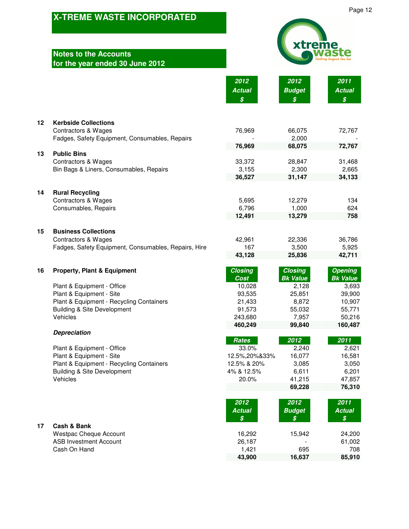### **Notes to the Accounts for the year ended 30 June 2012**



**2012 2012 2011**

**43,900 16,637 85,910**

|         |                                                                           | <b>Actual</b><br>\$   | <b>Budget</b><br>$\boldsymbol{s}$ | <b>Actual</b><br>$\boldsymbol{\mathcal{S}}$ |
|---------|---------------------------------------------------------------------------|-----------------------|-----------------------------------|---------------------------------------------|
| $12 \,$ | <b>Kerbside Collections</b>                                               |                       |                                   |                                             |
|         | <b>Contractors &amp; Wages</b>                                            | 76,969                | 66,075                            | 72,767                                      |
|         | Fadges, Safety Equipment, Consumables, Repairs                            | 76,969                | 2,000<br>68,075                   | 72,767                                      |
| 13      | <b>Public Bins</b>                                                        |                       |                                   |                                             |
|         | <b>Contractors &amp; Wages</b><br>Bin Bags & Liners, Consumables, Repairs | 33,372<br>3,155       | 28,847<br>2,300                   | 31,468<br>2,665                             |
|         |                                                                           | 36,527                | 31,147                            | 34,133                                      |
| 14      | <b>Rural Recycling</b>                                                    |                       |                                   |                                             |
|         | <b>Contractors &amp; Wages</b>                                            | 5,695                 | 12,279                            | 134                                         |
|         | Consumables, Repairs                                                      | 6,796                 | 1,000                             | 624<br>758                                  |
|         |                                                                           | 12,491                | 13,279                            |                                             |
| 15      | <b>Business Collections</b>                                               |                       |                                   |                                             |
|         | <b>Contractors &amp; Wages</b>                                            | 42,961                | 22,336                            | 36,786                                      |
|         | Fadges, Safety Equipment, Consumables, Repairs, Hire                      | 167<br>43,128         | 3,500<br>25,836                   | 5,925<br>42,711                             |
| 16      | <b>Property, Plant &amp; Equipment</b>                                    | <b>Closing</b>        | <b>Closing</b><br><b>Bk Value</b> | <b>Opening</b><br><b>Bk Value</b>           |
|         | Plant & Equipment - Office                                                | Cost<br>10,028        | 2,128                             | 3,693                                       |
|         | Plant & Equipment - Site                                                  | 93,535                | 25,851                            | 39,900                                      |
|         | Plant & Equipment - Recycling Containers                                  | 21,433                | 8,872                             | 10,907                                      |
|         | <b>Building &amp; Site Development</b><br>Vehicles                        | 91,573<br>243,680     | 55,032<br>7,957                   | 55,771<br>50,216                            |
|         |                                                                           | 460,249               | 99,840                            | 160,487                                     |
|         | <b>Depreciation</b>                                                       |                       |                                   |                                             |
|         | Plant & Equipment - Office                                                | <b>Rates</b><br>33.0% | 2012<br>2,240                     | 2011<br>2,621                               |
|         | Plant & Equipment - Site                                                  | 12.5%, 20% & 33%      | 16,077                            | 16,581                                      |
|         | Plant & Equipment - Recycling Containers                                  | 12.5% & 20%           | 3,085                             | 3,050                                       |
|         | <b>Building &amp; Site Development</b><br>Vehicles                        | 4% & 12.5%<br>20.0%   | 6,611<br>41,215                   | 6,201<br>47,857                             |
|         |                                                                           |                       | 69,228                            | 76,310                                      |
|         |                                                                           | 2012<br><b>Actual</b> | 2012<br><b>Budget</b>             | 2011<br><b>Actual</b>                       |
|         |                                                                           | \$                    | \$                                | \$                                          |
| 17      | Cash & Bank<br><b>Westpac Cheque Account</b>                              | 16,292                | 15,942                            | 24,200                                      |
|         | <b>ASB Investment Account</b>                                             | 26,187                |                                   | 61,002                                      |
|         | Cash On Hand                                                              | 1,421                 | 695                               | 708                                         |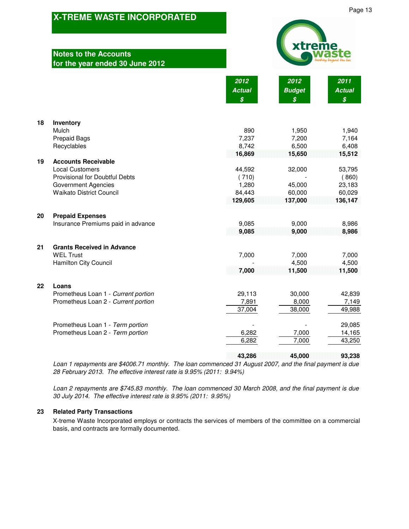### **Notes to the Accounts for the year ended 30 June 2012**

Page 13

|    | טו נוכ<br>car criaca oo oanc <i>E</i> o                                                                                                                 |                                                     |                                                     |                                                     |  |
|----|---------------------------------------------------------------------------------------------------------------------------------------------------------|-----------------------------------------------------|-----------------------------------------------------|-----------------------------------------------------|--|
|    |                                                                                                                                                         | 2012<br><b>Actual</b><br>$\boldsymbol{\mathcal{S}}$ | 2012<br><b>Budget</b><br>$\boldsymbol{\mathcal{S}}$ | 2011<br><b>Actual</b><br>$\boldsymbol{\mathcal{S}}$ |  |
| 18 | Inventory                                                                                                                                               |                                                     |                                                     |                                                     |  |
|    | Mulch<br><b>Prepaid Bags</b><br>Recyclables                                                                                                             | 890<br>7,237<br>8,742<br>16,869                     | 1,950<br>7,200<br>6,500<br>15,650                   | 1,940<br>7,164<br>6,408<br>15,512                   |  |
| 19 | <b>Accounts Receivable</b><br><b>Local Customers</b><br>Provisional for Doubtful Debts<br><b>Government Agencies</b><br><b>Waikato District Council</b> | 44,592<br>(710)<br>1,280<br>84,443<br>129,605       | 32,000<br>45,000<br>60,000<br>137,000               | 53,795<br>(860)<br>23,183<br>60,029<br>136,147      |  |
| 20 | <b>Prepaid Expenses</b><br>Insurance Premiums paid in advance                                                                                           | 9,085<br>9,085                                      | 9,000<br>9,000                                      | 8,986<br>8,986                                      |  |
| 21 | <b>Grants Received in Advance</b><br><b>WEL Trust</b><br>Hamilton City Council                                                                          | 7,000<br>7,000                                      | 7,000<br>4,500<br>11,500                            | 7,000<br>4,500<br>11,500                            |  |
| 22 | Loans<br>Prometheus Loan 1 - Current portion<br>Prometheus Loan 2 - Current portion                                                                     | 29,113<br>7,891<br>37,004                           | 30,000<br>8,000<br>38,000                           | 42,839<br>7,149<br>49,988                           |  |
|    | Prometheus Loan 1 - Term portion<br>Prometheus Loan 2 - Term portion                                                                                    | 6,282<br>6,282                                      | 7,000<br>7,000                                      | 29,085<br>14,165<br>43,250                          |  |
|    |                                                                                                                                                         | 43,286                                              | 45,000                                              | 93,238                                              |  |

*Loan 1 repayments are \$4006.71 monthly. The loan commenced 31 August 2007, and the final payment is due 28 February 2013. The effective interest rate is 9.95% (2011: 9.94%)*

*Loan 2 repayments are \$745.83 monthly. The loan commenced 30 March 2008, and the final payment is due 30 July 2014. The effective interest rate is 9.95% (2011: 9.95%)*

### **23 Related Party Transactions**

X-treme Waste Incorporated employs or contracts the services of members of the committee on a commercial basis, and contracts are formally documented.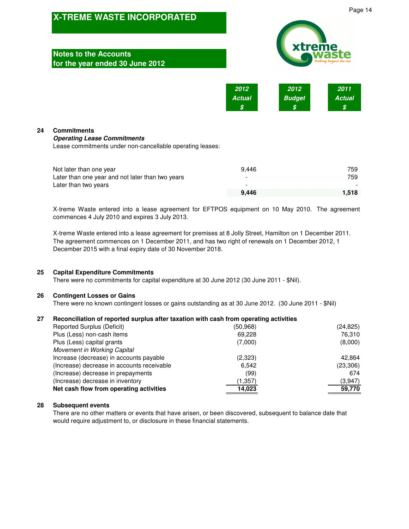| <b>X-TREME WASTE INCORPORATED</b> |                                                                                                                       |                            |                             |                            | Page 14 |  |
|-----------------------------------|-----------------------------------------------------------------------------------------------------------------------|----------------------------|-----------------------------|----------------------------|---------|--|
|                                   | <b>Notes to the Accounts</b><br>for the year ended 30 June 2012                                                       | xtreme                     |                             |                            |         |  |
|                                   |                                                                                                                       | 2012<br><b>Actual</b><br>S | 2012<br><b>Budget</b><br>\$ | 2011<br><b>Actual</b><br>S |         |  |
| 24                                | <b>Commitments</b><br><b>Operating Lease Commitments</b><br>Lease commitments under non-cancellable operating leases: |                            |                             |                            |         |  |
|                                   | Not later than one year<br>Later than one year and not later than two years<br>Later than two years                   | 9,446                      |                             | 759<br>759                 |         |  |
|                                   |                                                                                                                       | 9,446                      |                             | 1,518                      |         |  |

X-treme Waste entered into a lease agreement for EFTPOS equipment on 10 May 2010. The agreement commences 4 July 2010 and expires 3 July 2013.

X-treme Waste entered into a lease agreement for premises at 8 Jolly Street, Hamilton on 1 December 2011. The agreement commences on 1 December 2011, and has two right of renewals on 1 December 2012, 1 December 2015 with a final expiry date of 30 November 2018.

### **25 Capital Expenditure Commitments**

There were no commitments for capital expenditure at 30 June 2012 (30 June 2011 - \$Nil).

#### **26 Contingent Losses or Gains**

There were no known contingent losses or gains outstanding as at 30 June 2012. (30 June 2011 - \$Nil)

#### **27 Reconciliation of reported surplus after taxation with cash from operating activities**

| Reported Surplus (Deficit)                 | (50, 968) | (24, 825) |
|--------------------------------------------|-----------|-----------|
| Plus (Less) non-cash items                 | 69,228    | 76,310    |
| Plus (Less) capital grants                 | (7,000)   | (8,000)   |
| Movement in Working Capital                |           |           |
| Increase (decrease) in accounts payable    | (2,323)   | 42.864    |
| (Increase) decrease in accounts receivable | 6,542     | (23,306)  |
| (Increase) decrease in prepayments         | (99)      | 674       |
| (Increase) decrease in inventory           | (1,357)   | (3.947)   |
| Net cash flow from operating activities    | 14,023    | 59,770    |
|                                            |           |           |

### **28 Subsequent events**

There are no other matters or events that have arisen, or been discovered, subsequent to balance date that would require adjustment to, or disclosure in these financial statements.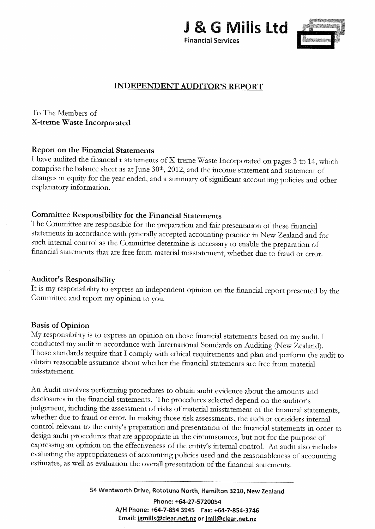



# **INDEPENDENT AUDITOR'S REPORT**

To The Members of X-treme Waste Incorporated

## **Report on the Financial Statements**

I have audited the financial r statements of X-treme Waste Incorporated on pages 3 to 14, which comprise the balance sheet as at June 30<sup>th</sup>, 2012, and the income statement and statement of changes in equity for the year ended, and a summary of significant accounting policies and other explanatory information.

## Committee Responsibility for the Financial Statements

The Committee are responsible for the preparation and fair presentation of these financial statements in accordance with generally accepted accounting practice in New Zealand and for such internal control as the Committee determine is necessary to enable the preparation of financial statements that are free from material misstatement, whether due to fraud or error.

### **Auditor's Responsibility**

It is my responsibility to express an independent opinion on the financial report presented by the Committee and report my opinion to you.

## **Basis of Opinion**

My responsibility is to express an opinion on those financial statements based on my audit. I conducted my audit in accordance with International Standards on Auditing (New Zealand). Those standards require that I comply with ethical requirements and plan and perform the audit to obtain reasonable assurance about whether the financial statements are free from material misstatement.

An Audit involves performing procedures to obtain audit evidence about the amounts and disclosures in the financial statements. The procedures selected depend on the auditor's judgement, including the assessment of risks of material misstatement of the financial statements, whether due to fraud or error. In making those risk assessments, the auditor considers internal control relevant to the entity's preparation and presentation of the financial statements in order to design audit procedures that are appropriate in the circumstances, but not for the purpose of expressing an opinion on the effectiveness of the entity's internal control. An audit also includes evaluating the appropriateness of accounting policies used and the reasonableness of accounting estimates, as well as evaluation the overall presentation of the financial statements.

> 54 Wentworth Drive, Rototuna North, Hamilton 3210, New Zealand Phone: +64-27-5720054 A/H Phone: +64-7-854 3945 Fax: +64-7-854-3746 Email: jgmills@clear.net.nz or jmil@clear.net.nz